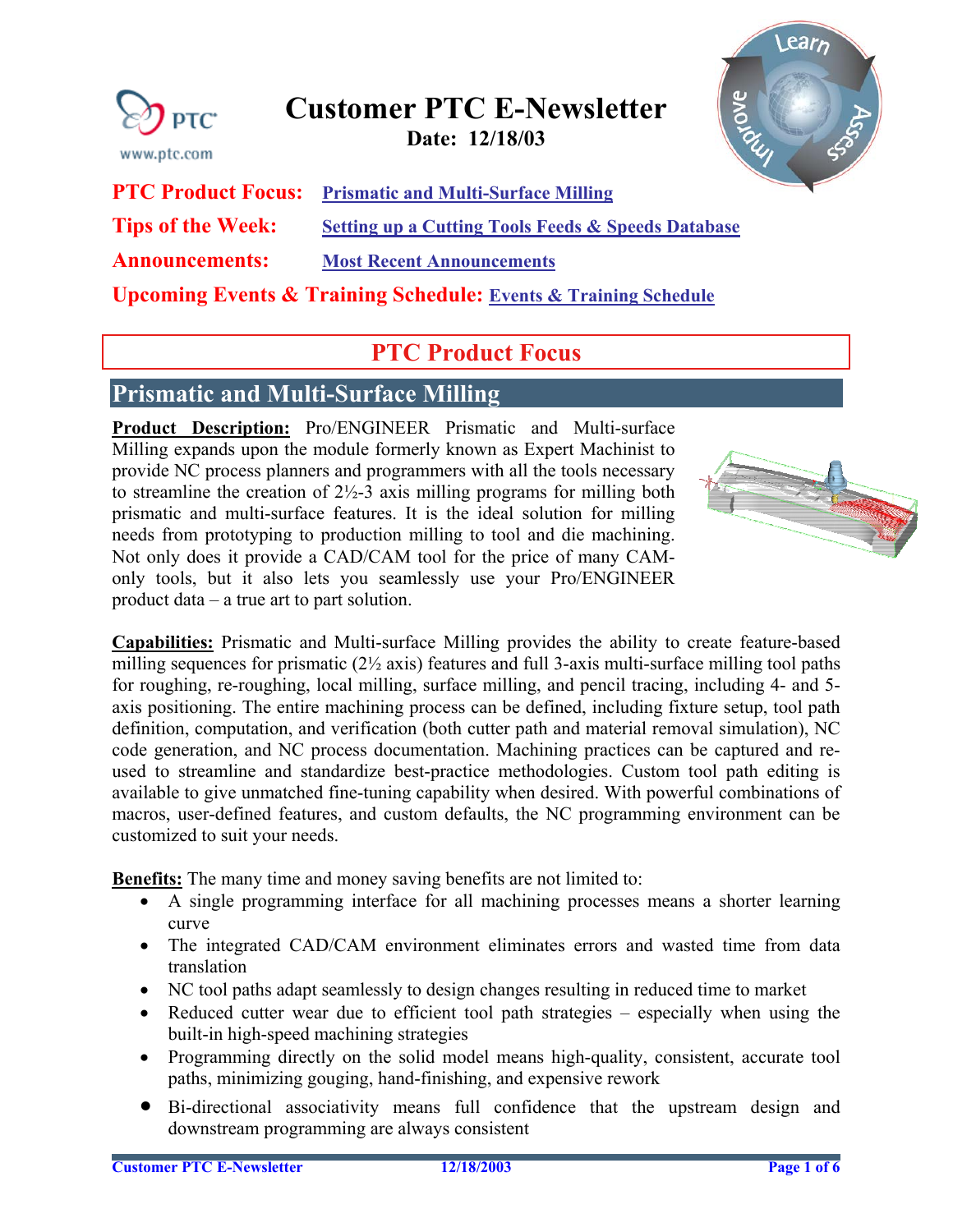<span id="page-0-0"></span>

# **Customer PTC E-Newsletter**

**Date: 12/18/03** 



**PTC Product Focus: [Prismatic and Multi-Surface Milling](#page-0-0)**

**Tips of the Week:** Setting up a Cutting Tools Feeds & Speeds Database

**Announcements: [Most Recent Announcements](#page-3-0)** 

**Upcoming Events & Training Schedule: [Events & Training Schedule](#page-5-0)**

## **PTC Product Focus**

### **Prismatic and Multi-Surface Milling**

**Product Description:** Pro/ENGINEER Prismatic and Multi-surface Milling expands upon the module formerly known as Expert Machinist to provide NC process planners and programmers with all the tools necessary to streamline the creation of  $2\frac{1}{2}$ -3 axis milling programs for milling both prismatic and multi-surface features. It is the ideal solution for milling needs from prototyping to production milling to tool and die machining. Not only does it provide a CAD/CAM tool for the price of many CAMonly tools, but it also lets you seamlessly use your Pro/ENGINEER product data – a true art to part solution.



**Capabilities:** Prismatic and Multi-surface Milling provides the ability to create feature-based milling sequences for prismatic  $(2\frac{1}{2})$  axis) features and full 3-axis multi-surface milling tool paths for roughing, re-roughing, local milling, surface milling, and pencil tracing, including 4- and 5 axis positioning. The entire machining process can be defined, including fixture setup, tool path definition, computation, and verification (both cutter path and material removal simulation), NC code generation, and NC process documentation. Machining practices can be captured and reused to streamline and standardize best-practice methodologies. Custom tool path editing is available to give unmatched fine-tuning capability when desired. With powerful combinations of macros, user-defined features, and custom defaults, the NC programming environment can be customized to suit your needs.

**Benefits:** The many time and money saving benefits are not limited to:

- A single programming interface for all machining processes means a shorter learning curve
- The integrated CAD/CAM environment eliminates errors and wasted time from data translation
- NC tool paths adapt seamlessly to design changes resulting in reduced time to market
- Reduced cutter wear due to efficient tool path strategies especially when using the built-in high-speed machining strategies
- Programming directly on the solid model means high-quality, consistent, accurate tool paths, minimizing gouging, hand-finishing, and expensive rework
- Bi-directional associativity means full confidence that the upstream design and downstream programming are always consistent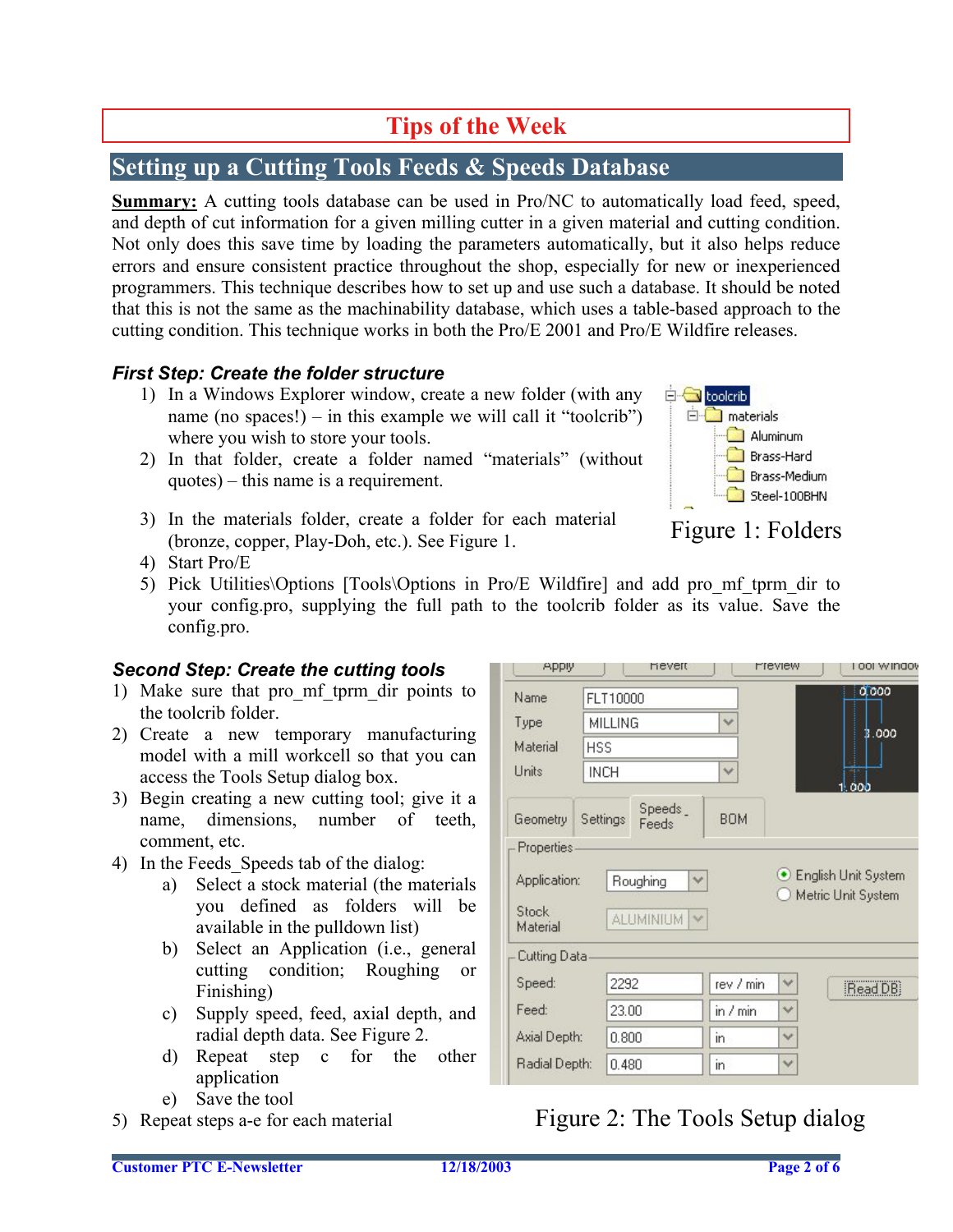## **Tips of the Week**

## <span id="page-1-0"></span>**Setting up a Cutting Tools Feeds & Speeds Database**

**Summary:** A cutting tools database can be used in Pro/NC to automatically load feed, speed, and depth of cut information for a given milling cutter in a given material and cutting condition. Not only does this save time by loading the parameters automatically, but it also helps reduce errors and ensure consistent practice throughout the shop, especially for new or inexperienced programmers. This technique describes how to set up and use such a database. It should be noted that this is not the same as the machinability database, which uses a table-based approach to the cutting condition. This technique works in both the Pro/E 2001 and Pro/E Wildfire releases.

#### *First Step: Create the folder structure*

- 1) In a Windows Explorer window, create a new folder (with any name (no spaces!) – in this example we will call it "toolcrib") where you wish to store your tools.
- 2) In that folder, create a folder named "materials" (without quotes) – this name is a requirement.
- 3) In the materials folder, create a folder for each material In the materials folder, create a folder for each material Figure 1: Folders (bronze, copper, Play-Doh, etc.). See Figure 1.
- 4) Start Pro/E
- 5) Pick Utilities\Options [Tools\Options in Pro/E Wildfire] and add pro\_mf\_tprm\_dir to your config.pro, supplying the full path to the toolcrib folder as its value. Save the config.pro.

### *Second Step: Create the cutting tools*

- 1) Make sure that pro\_mf\_tprm\_dir points to the toolcrib folder.
- 2) Create a new temporary manufacturing model with a mill workcell so that you can access the Tools Setup dialog box.
- 3) Begin creating a new cutting tool; give it a name, dimensions, number of teeth, comment, etc.
- 4) In the Feeds\_Speeds tab of the dialog:
	- a) Select a stock material (the materials you defined as folders will be available in the pulldown list)
	- b) Select an Application (i.e., general cutting condition; Roughing or Finishing)
	- c) Supply speed, feed, axial depth, and radial depth data. See Figure 2.
	- d) Repeat step c for the other application
	- e) Save the tool
- 5) Repeat steps a-e for each material

| Name                                                                 | FLT10000    |                          |              |              | 0.000                      |
|----------------------------------------------------------------------|-------------|--------------------------|--------------|--------------|----------------------------|
| Type                                                                 | MILLING     |                          | $\checkmark$ |              | 3.000                      |
| Material                                                             | <b>HSS</b>  |                          |              |              |                            |
| Units                                                                | <b>INCH</b> |                          | $\checkmark$ | 1.000        |                            |
| Geometry                                                             | Settings    | Speeds_<br>Feeds         | BOM.         |              |                            |
| Properties                                                           |             |                          |              |              |                            |
|                                                                      |             |                          |              |              |                            |
|                                                                      |             | Roughing<br>$\checkmark$ |              |              | <b>English Unit System</b> |
|                                                                      |             | <b>ALUMINIUM</b><br>hat. |              |              | Metric Unit System         |
| Cutting Data                                                         |             |                          |              |              |                            |
|                                                                      | 2292        |                          | rev / min    | $\checkmark$ | Read DB                    |
|                                                                      | 23.00       |                          | in $/$ min   | v            |                            |
| Application:<br>Stock<br>Material<br>Speed:<br>Feed:<br>Axial Depth: | 0.800       |                          | in.          | v            |                            |

## Figure 2: The Tools Setup dialog

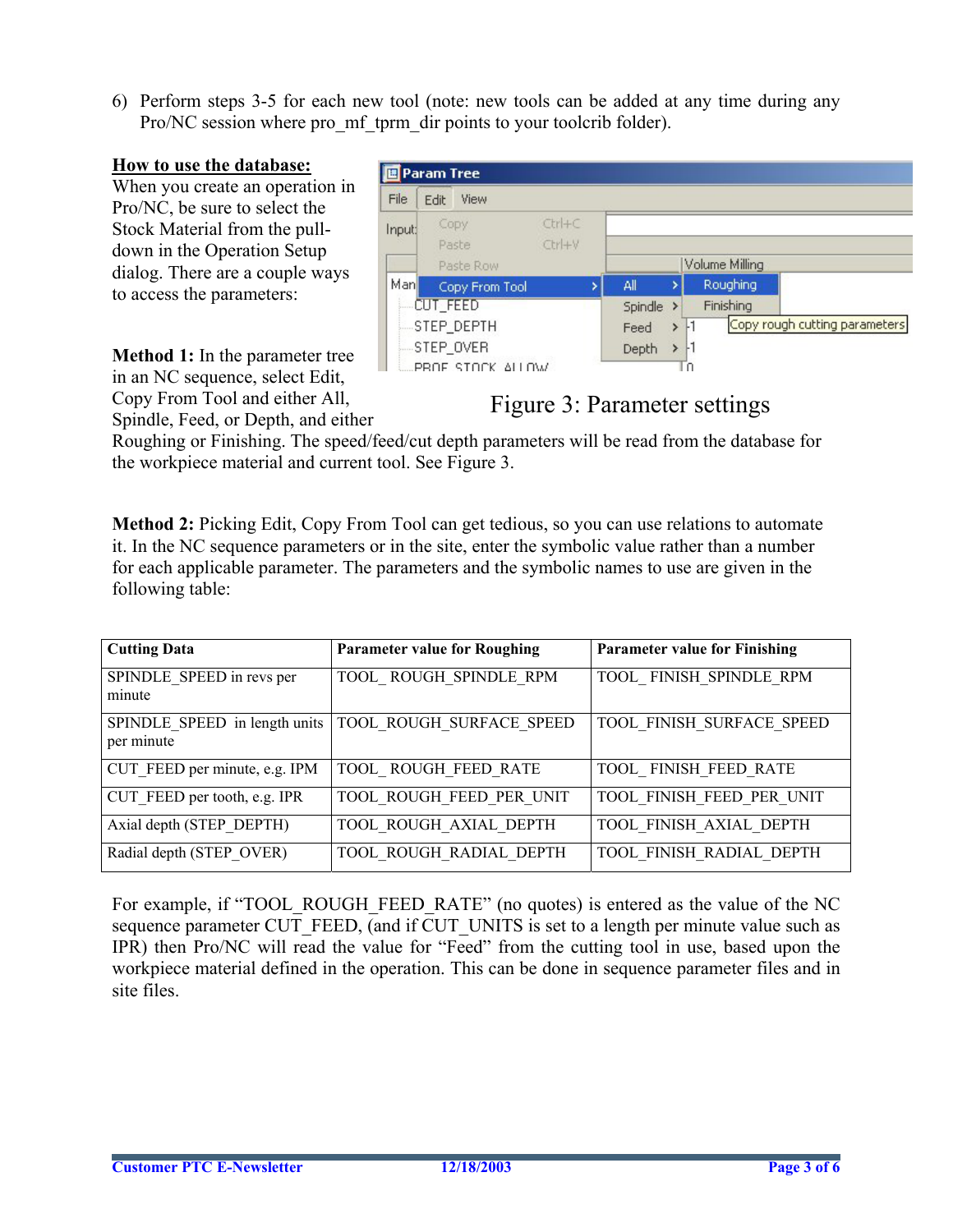6) Perform steps 3-5 for each new tool (note: new tools can be added at any time during any Pro/NC session where pro\_mf\_tprm\_dir points to your toolcrib folder).

#### **How to use the database:**

When you create an operation in Pro/NC, be sure to select the Stock Material from the pulldown in the Operation Setup dialog. There are a couple ways to access the parameters:

|             | <b>■Param Tree</b> |                      |         |               |                |                               |
|-------------|--------------------|----------------------|---------|---------------|----------------|-------------------------------|
| <b>File</b> | View<br>Edit       |                      |         |               |                |                               |
| Input:      | Copy<br>Paste      | $Ctrl + C$<br>Ctrl+V |         |               |                |                               |
|             | Paste Row          |                      |         |               | Volume Milling |                               |
| Man         | Copy From Tool     |                      | All     |               | Roughing       |                               |
|             | <b>CUT_FEED</b>    |                      | Spindle | $\rightarrow$ | Finishing      |                               |
|             | STEP_DEPTH         |                      | Feed    | >             |                | Copy rough cutting parameters |
|             | STEP_OVER          |                      | Depth   |               |                |                               |
|             | PROF STOCK ALLOW   |                      |         |               |                |                               |

**Method 1:** In the parameter tree in an NC sequence, select Edit, Copy From Tool and either All, Spindle, Feed, or Depth, and either

### Figure 3: Parameter settings

Roughing or Finishing. The speed/feed/cut depth parameters will be read from the database for the workpiece material and current tool. See Figure 3.

**Method 2:** Picking Edit, Copy From Tool can get tedious, so you can use relations to automate it. In the NC sequence parameters or in the site, enter the symbolic value rather than a number for each applicable parameter. The parameters and the symbolic names to use are given in the following table:

| <b>Cutting Data</b>                         | <b>Parameter value for Roughing</b> | <b>Parameter value for Finishing</b> |
|---------------------------------------------|-------------------------------------|--------------------------------------|
| SPINDLE SPEED in revs per<br>minute         | TOOL ROUGH SPINDLE RPM              | TOOL FINISH SPINDLE RPM              |
| SPINDLE SPEED in length units<br>per minute | <b>TOOL ROUGH SURFACE SPEED</b>     | TOOL FINISH SURFACE SPEED            |
| CUT FEED per minute, e.g. IPM               | TOOL ROUGH FEED RATE                | TOOL FINISH FEED RATE                |
| CUT FEED per tooth, e.g. IPR                | TOOL ROUGH FEED PER UNIT            | TOOL FINISH FEED PER UNIT            |
| Axial depth (STEP DEPTH)                    | TOOL ROUGH AXIAL DEPTH              | TOOL FINISH AXIAL DEPTH              |
| Radial depth (STEP OVER)                    | TOOL ROUGH RADIAL DEPTH             | TOOL FINISH RADIAL DEPTH             |

For example, if "TOOL\_ROUGH\_FEED\_RATE" (no quotes) is entered as the value of the NC sequence parameter CUT\_FEED, (and if CUT\_UNITS is set to a length per minute value such as IPR) then Pro/NC will read the value for "Feed" from the cutting tool in use, based upon the workpiece material defined in the operation. This can be done in sequence parameter files and in site files.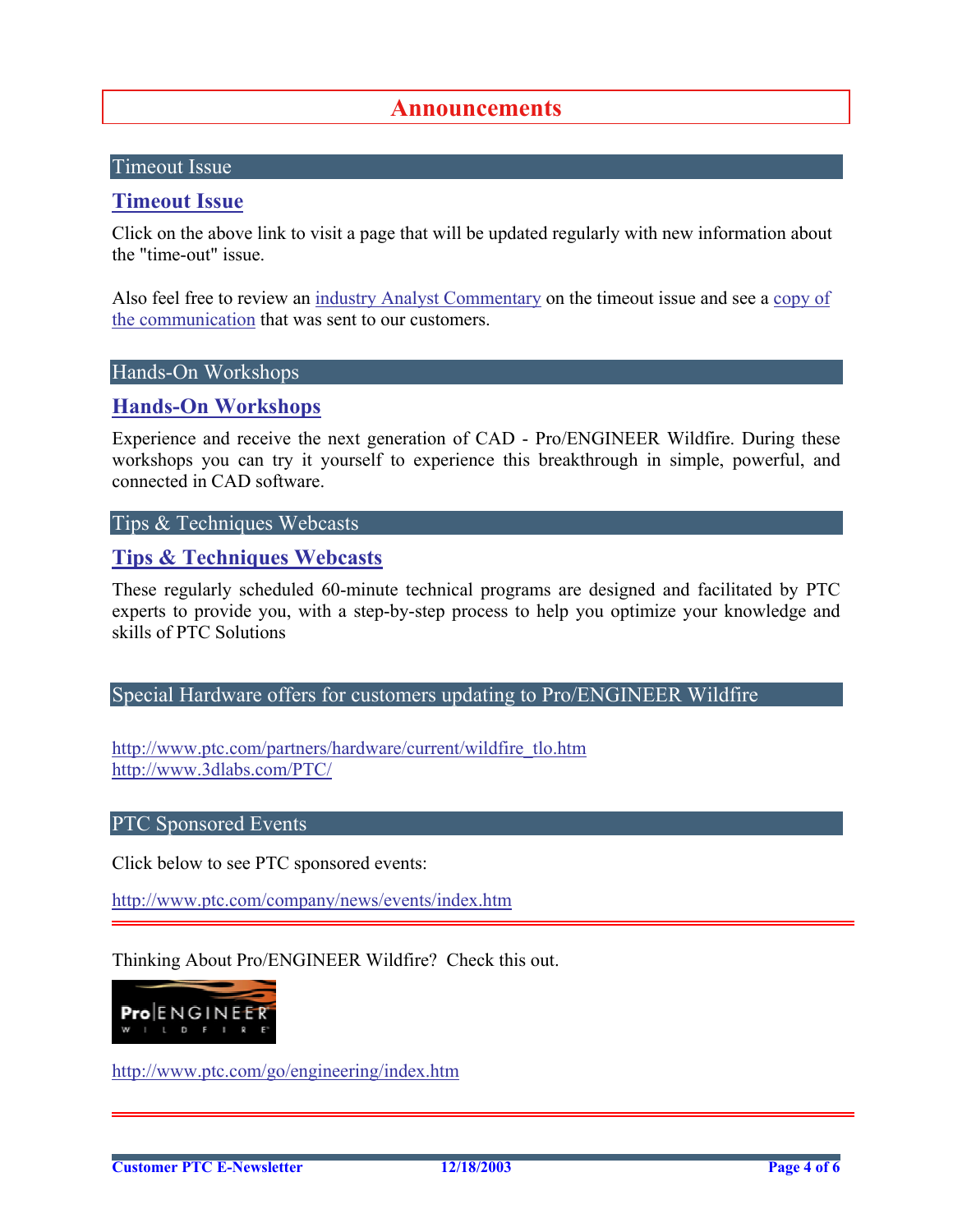### **Announcements**

#### <span id="page-3-0"></span>Timeout Issue

#### **[Timeout Issue](http://www.ptc.com/go/timeout/)**

Click on the above link to visit a page that will be updated regularly with new information about the "time-out" issue.

Also feel free to review an [industry Analyst Commentary](http://www.cadwire.net/commentary/?30013) on the timeout issue and see a copy of [the communication](http://go.cadwire.net/?30013,1,1) that was sent to our customers.

#### Hands-On Workshops

#### **[Hands-On Workshops](http://www.ptc.com/appserver/it/icm/cda/template_lib/events/online.jsp?im_dbkey=17625&im_language=en)**

Experience and receive the next generation of CAD - Pro/ENGINEER Wildfire. During these workshops you can try it yourself to experience this breakthrough in simple, powerful, and connected in CAD software.

#### Tips & Techniques Webcasts

#### **[Tips & Techniques Webcasts](http://www.ptc.com/appserver/it/icm/cda/template_lib/events/series.jsp?&im_dbkey=11442&icg_dbkey=141)**

These regularly scheduled 60-minute technical programs are designed and facilitated by PTC experts to provide you, with a step-by-step process to help you optimize your knowledge and skills of PTC Solutions

Special Hardware offers for customers updating to Pro/ENGINEER Wildfire

[http://www.ptc.com/partners/hardware/current/wildfire\\_tlo.htm](http://www.ptc.com/partners/hardware/current/wildfire_tlo.htm)  <http://www.3dlabs.com/PTC/>

#### PTC Sponsored Events

Click below to see PTC sponsored events:

<http://www.ptc.com/company/news/events/index.htm>

Thinking About Pro/ENGINEER Wildfire? Check this out.



<http://www.ptc.com/go/engineering/index.htm>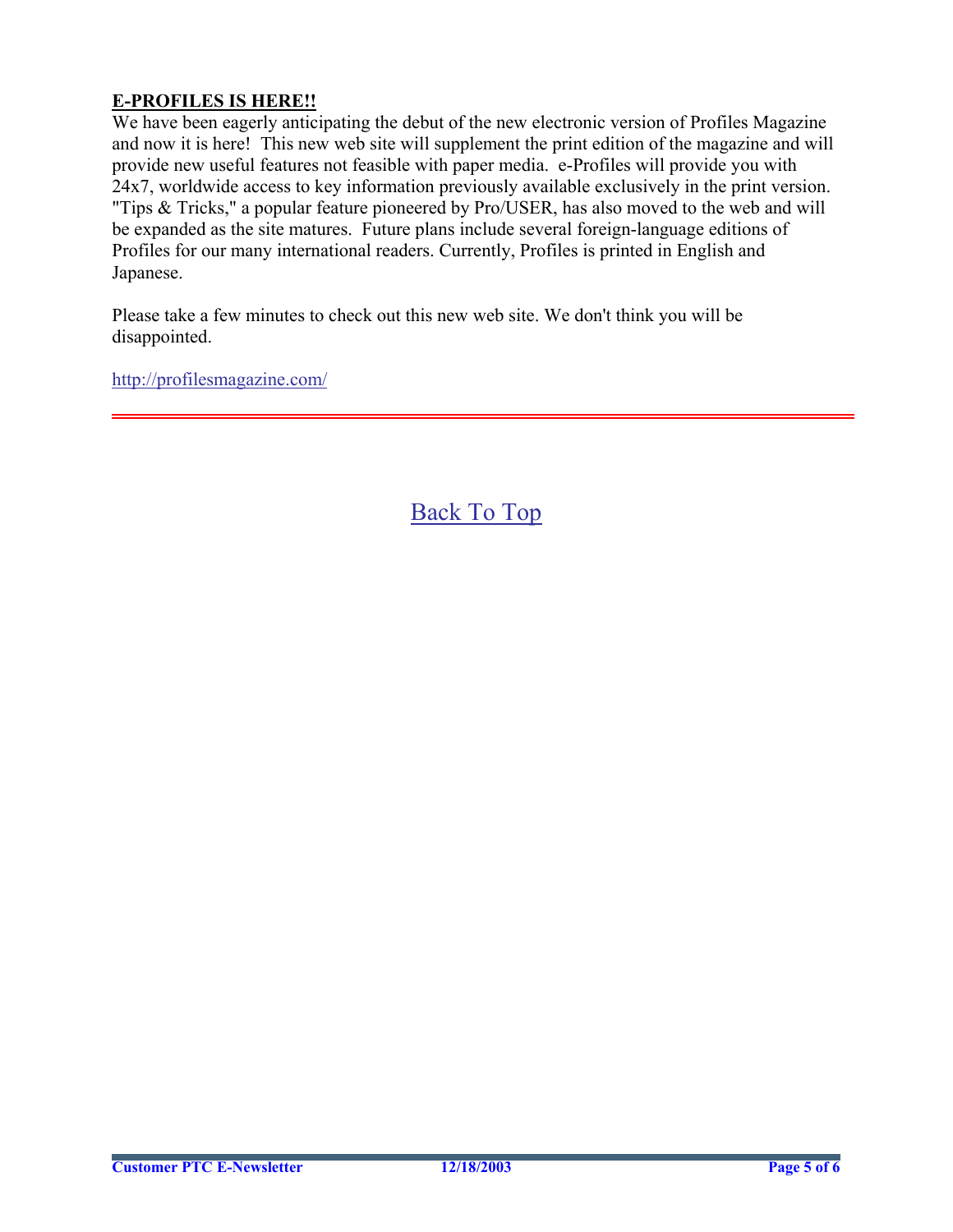#### **E-PROFILES IS HERE!!**

We have been eagerly anticipating the debut of the new electronic version of Profiles Magazine and now it is here! This new web site will supplement the print edition of the magazine and will provide new useful features not feasible with paper media. e-Profiles will provide you with 24x7, worldwide access to key information previously available exclusively in the print version. "Tips & Tricks," a popular feature pioneered by Pro/USER, has also moved to the web and will be expanded as the site matures. Future plans include several foreign-language editions of Profiles for our many international readers. Currently, Profiles is printed in English and Japanese.

Please take a few minutes to check out this new web site. We don't think you will be disappointed.

<http://profilesmagazine.com/>

[Back To Top](#page-0-0)